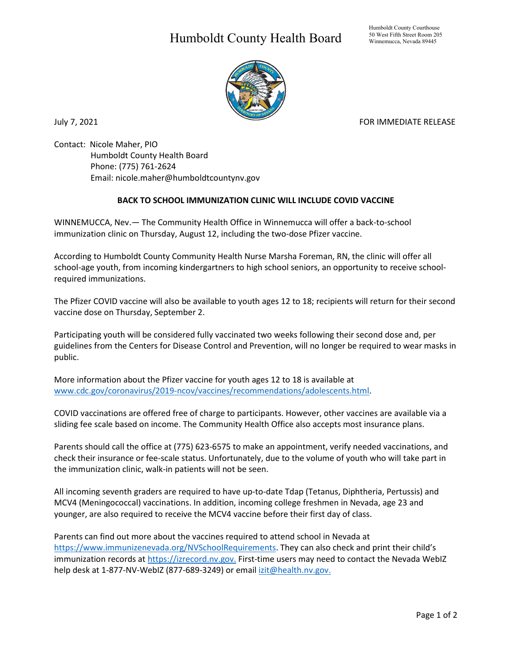## Humboldt County Health Board



Contact: Nicole Maher, PIO Humboldt County Health Board Phone: (775) 761-2624 Email: nicole.maher@humboldtcountynv.gov

## **BACK TO SCHOOL IMMUNIZATION CLINIC WILL INCLUDE COVID VACCINE**

WINNEMUCCA, Nev.— The Community Health Office in Winnemucca will offer a back-to-school immunization clinic on Thursday, August 12, including the two-dose Pfizer vaccine.

According to Humboldt County Community Health Nurse Marsha Foreman, RN, the clinic will offer all school-age youth, from incoming kindergartners to high school seniors, an opportunity to receive schoolrequired immunizations.

The Pfizer COVID vaccine will also be available to youth ages 12 to 18; recipients will return for their second vaccine dose on Thursday, September 2.

Participating youth will be considered fully vaccinated two weeks following their second dose and, per guidelines from the Centers for Disease Control and Prevention, will no longer be required to wear masks in public.

More information about the Pfizer vaccine for youth ages 12 to 18 is available at [www.cdc.gov/coronavirus/2019-ncov/vaccines/recommendations/adolescents.html.](http://www.cdc.gov/coronavirus/2019-ncov/vaccines/recommendations/adolescents.html)

COVID vaccinations are offered free of charge to participants. However, other vaccines are available via a sliding fee scale based on income. The Community Health Office also accepts most insurance plans.

Parents should call the office at (775) 623-6575 to make an appointment, verify needed vaccinations, and check their insurance or fee-scale status. Unfortunately, due to the volume of youth who will take part in the immunization clinic, walk-in patients will not be seen.

All incoming seventh graders are required to have up-to-date Tdap (Tetanus, Diphtheria, Pertussis) and MCV4 (Meningococcal) vaccinations. In addition, incoming college freshmen in Nevada, age 23 and younger, are also required to receive the MCV4 vaccine before their first day of class.

Parents can find out more about the vaccines required to attend school in Nevada at [https://www.immunizenevada.org/NVSchoolRequirements.](https://www.immunizenevada.org/NVSchoolRequirements) They can also check and print their child's immunization records a[t https://izrecord.nv.gov.](https://izrecord.nv.gov/public/Application/PublicPortal) First-time users may need to contact the Nevada WebIZ help desk at 1-877-NV-WebIZ (877-689-3249) or email [izit@health.nv.gov.](mailto:izit@health.nv.gov)